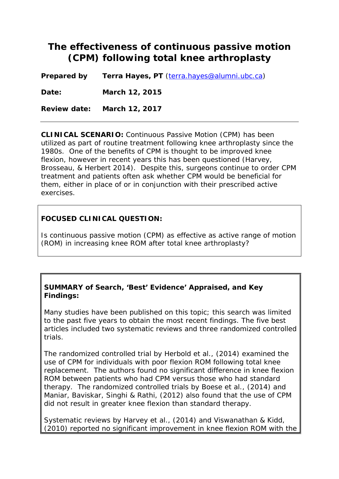# **The effectiveness of continuous passive motion (CPM) following total knee arthroplasty**

**Prepared by Terra Hayes, PT** [\(terra.hayes@alumni.ubc.ca\)](mailto:terra.hayes@alumni.ubc.ca)

**Date: March 12, 2015**

**Review date: March 12, 2017**

**CLINICAL SCENARIO:** Continuous Passive Motion (CPM) has been utilized as part of routine treatment following knee arthroplasty since the 1980s. One of the benefits of CPM is thought to be improved knee flexion, however in recent years this has been questioned (Harvey, Brosseau, & Herbert 2014). Despite this, surgeons continue to order CPM treatment and patients often ask whether CPM would be beneficial for them, either in place of or in conjunction with their prescribed active exercises.

## **FOCUSED CLINICAL QUESTION:**

Is continuous passive motion (CPM) as effective as active range of motion (ROM) in increasing knee ROM after total knee arthroplasty?

#### **SUMMARY of Search, 'Best' Evidence' Appraised, and Key Findings:**

Many studies have been published on this topic; this search was limited to the past five years to obtain the most recent findings. The five best articles included two systematic reviews and three randomized controlled trials.

The randomized controlled trial by Herbold et al., (2014) examined the use of CPM for individuals with poor flexion ROM following total knee replacement. The authors found no significant difference in knee flexion ROM between patients who had CPM versus those who had standard therapy. The randomized controlled trials by Boese et al., (2014) and Maniar, Baviskar, Singhi & Rathi, (2012) also found that the use of CPM did not result in greater knee flexion than standard therapy.

Systematic reviews by Harvey et al., (2014) and Viswanathan & Kidd, (2010) reported no significant improvement in knee flexion ROM with the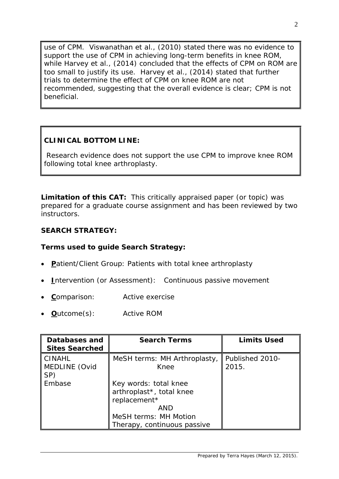use of CPM. Viswanathan et al., (2010) stated there was no evidence to support the use of CPM in achieving long-term benefits in knee ROM, while Harvey et al., (2014) concluded that the effects of CPM on ROM are too small to justify its use. Harvey et al., (2014) stated that further trials to determine the effect of CPM on knee ROM are not recommended, suggesting that the overall evidence is clear; CPM is not beneficial.

# **CLINICAL BOTTOM LINE:**

Research evidence does not support the use CPM to improve knee ROM following total knee arthroplasty.

**Limitation of this CAT:** This critically appraised paper (or topic) was prepared for a graduate course assignment and has been reviewed by two instructors.

# **SEARCH STRATEGY:**

# **Terms used to guide Search Strategy:**

- **P**atient/Client Group: Patients with total knee arthroplasty
- **I**ntervention (or Assessment): Continuous passive movement
- **C**omparison: Active exercise
- **O**utcome(s): Active ROM

| Databases and<br><b>Sites Searched</b> | <b>Search Terms</b>                                                                                                              | <b>Limits Used</b>       |
|----------------------------------------|----------------------------------------------------------------------------------------------------------------------------------|--------------------------|
| CINAHL<br>MEDLINE (Ovid<br>SP)         | MeSH terms: MH Arthroplasty,<br>Knee                                                                                             | Published 2010-<br>2015. |
| Embase                                 | Key words: total knee<br>arthroplast*, total knee<br>replacement*<br>AND<br>MeSH terms: MH Motion<br>Therapy, continuous passive |                          |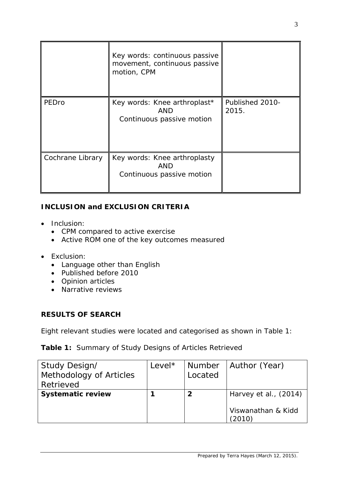|                  | Key words: continuous passive<br>movement, continuous passive<br>motion, CPM |                          |
|------------------|------------------------------------------------------------------------------|--------------------------|
| PEDro            | Key words: Knee arthroplast*<br>AND<br>Continuous passive motion             | Published 2010-<br>2015. |
| Cochrane Library | Key words: Knee arthroplasty<br>AND<br>Continuous passive motion             |                          |

# **INCLUSION and EXCLUSION CRITERIA**

- Inclusion:
	- CPM compared to active exercise
	- Active ROM one of the key outcomes measured
- Exclusion:
	- Language other than English
	- Published before 2010
	- Opinion articles
	- Narrative reviews

## **RESULTS OF SEARCH**

Eight relevant studies were located and categorised as shown in Table 1:

# **Table 1:** Summary of Study Designs of Articles Retrieved

| Study Design/            | Level* | Number  | Author (Year)         |
|--------------------------|--------|---------|-----------------------|
| Methodology of Articles  |        | Located |                       |
| Retrieved                |        |         |                       |
| <b>Systematic review</b> |        | 2       | Harvey et al., (2014) |
|                          |        |         |                       |
|                          |        |         | Viswanathan & Kidd    |
|                          |        |         | ั2010`                |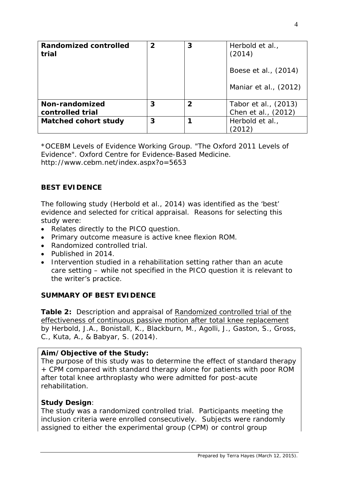| Randomized controlled<br>trial     | $\mathbf{2}$ | 3              | Herbold et al.,<br>(2014)<br>Boese et al., (2014)<br>Maniar et al., (2012) |
|------------------------------------|--------------|----------------|----------------------------------------------------------------------------|
| Non-randomized<br>controlled trial | 3            | $\overline{2}$ | Tabor et al., (2013)<br>Chen et al., (2012)                                |
| <b>Matched cohort study</b>        | 3            |                | Herbold et al.,                                                            |

\*OCEBM Levels of Evidence Working Group. "The Oxford 2011 Levels of Evidence". Oxford Centre for Evidence-Based Medicine. http://www.cebm.net/index.aspx?o=5653

# **BEST EVIDENCE**

The following study (Herbold et al., 2014) was identified as the 'best' evidence and selected for critical appraisal. Reasons for selecting this study were:

- Relates directly to the PICO question.
- Primary outcome measure is active knee flexion ROM.
- Randomized controlled trial.
- Published in 2014.
- Intervention studied in a rehabilitation setting rather than an acute care setting – while not specified in the PICO question it is relevant to the writer's practice.

## **SUMMARY OF BEST EVIDENCE**

**Table 2:** Description and appraisal of Randomized controlled trial of the effectiveness of continuous passive motion after total knee replacement by Herbold, J.A., Bonistall, K., Blackburn, M., Agolli, J., Gaston, S., Gross, C., Kuta, A., & Babyar, S. (2014).

## **Aim/Objective of the Study:**

The purpose of this study was to determine the effect of standard therapy + CPM compared with standard therapy alone for patients with poor ROM after total knee arthroplasty who were admitted for post-acute rehabilitation.

## **Study Design**:

The study was a randomized controlled trial. Participants meeting the inclusion criteria were enrolled consecutively. Subjects were randomly assigned to either the experimental group (CPM) or control group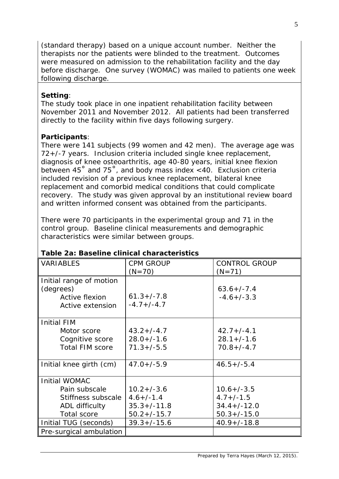(standard therapy) based on a unique account number. Neither the therapists nor the patients were blinded to the treatment. Outcomes were measured on admission to the rehabilitation facility and the day before discharge. One survey (WOMAC) was mailed to patients one week following discharge.

# **Setting**:

The study took place in one inpatient rehabilitation facility between November 2011 and November 2012. All patients had been transferred directly to the facility within five days following surgery.

# **Participants**:

There were 141 subjects (99 women and 42 men). The average age was 72+/-7 years. Inclusion criteria included single knee replacement, diagnosis of knee osteoarthritis, age 40-80 years, initial knee flexion between 45˚ and 75˚, and body mass index <40. Exclusion criteria included revision of a previous knee replacement, bilateral knee replacement and comorbid medical conditions that could complicate recovery. The study was given approval by an institutional review board and written informed consent was obtained from the participants.

There were 70 participants in the experimental group and 71 in the control group. Baseline clinical measurements and demographic characteristics were similar between groups.

| <b>VARIABLES</b>        | <b>CPM GROUP</b>  | <b>CONTROL GROUP</b> |  |
|-------------------------|-------------------|----------------------|--|
|                         | $(N=70)$          | $(N=71)$             |  |
| Initial range of motion |                   |                      |  |
| (degrees)               |                   | $63.6 + / -7.4$      |  |
| Active flexion          | $61.3 + / -7.8$   | $-4.6+/-3.3$         |  |
| Active extension        | $-4.7+/-4.7$      |                      |  |
|                         |                   |                      |  |
| <b>Initial FIM</b>      |                   |                      |  |
| Motor score             | $43.2 + (-4.7)$   | $42.7 + (-4.1)$      |  |
| Cognitive score         | $28.0 + / -1.6$   | $28.1 + (-1.6)$      |  |
| <b>Total FIM score</b>  | $71.3 + (-5.5)$   | $70.8 + (-4.7)$      |  |
|                         |                   |                      |  |
| Initial knee girth (cm) | $47.0 + (-5.9)$   | $46.5 + (-5.4)$      |  |
|                         |                   |                      |  |
| <b>Initial WOMAC</b>    |                   |                      |  |
| Pain subscale           | $10.2 + (-3.6)$   | $10.6 + (-3.5)$      |  |
| Stiffness subscale      | $4.6 + (-1.4)$    | $4.7 + (-1.5)$       |  |
| ADL difficulty          | $35.3 + / - 11.8$ | $34.4+/-12.0$        |  |
| <b>Total score</b>      | $50.2 + (-15.7)$  | $50.3 + (-15.0)$     |  |
| Initial TUG (seconds)   | $39.3 + (-15.6)$  | $40.9 + / - 18.8$    |  |
| Pre-surgical ambulation |                   |                      |  |

# **Table 2a: Baseline clinical characteristics**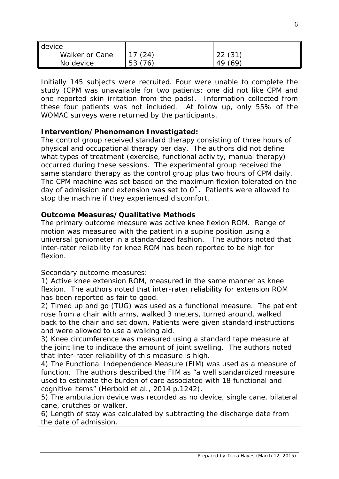| device         |         |         |
|----------------|---------|---------|
| Walker or Cane | 17(24)  | 22(31)  |
| No device      | 53 (76) | 49 (69) |

Initially 145 subjects were recruited. Four were unable to complete the study (CPM was unavailable for two patients; one did not like CPM and one reported skin irritation from the pads). Information collected from these four patients was not included. At follow up, only 55% of the WOMAC surveys were returned by the participants.

## **Intervention/Phenomenon Investigated:**

The control group received standard therapy consisting of three hours of physical and occupational therapy per day. The authors did not define what types of treatment (exercise, functional activity, manual therapy) occurred during these sessions. The experimental group received the same standard therapy as the control group plus two hours of CPM daily. The CPM machine was set based on the maximum flexion tolerated on the day of admission and extension was set to  $0^\circ$ . Patients were allowed to stop the machine if they experienced discomfort.

## **Outcome Measures/Qualitative Methods**

The primary outcome measure was active knee flexion ROM. Range of motion was measured with the patient in a supine position using a universal goniometer in a standardized fashion. The authors noted that inter-rater reliability for knee ROM has been reported to be high for flexion.

Secondary outcome measures:

1) Active knee extension ROM, measured in the same manner as knee flexion. The authors noted that inter-rater reliability for extension ROM has been reported as fair to good.

2) Timed up and go (TUG) was used as a functional measure. The patient rose from a chair with arms, walked 3 meters, turned around, walked back to the chair and sat down. Patients were given standard instructions and were allowed to use a walking aid.

3) Knee circumference was measured using a standard tape measure at the joint line to indicate the amount of joint swelling. The authors noted that inter-rater reliability of this measure is high.

4) The Functional Independence Measure (FIM) was used as a measure of function. The authors described the FIM as "a well standardized measure used to estimate the burden of care associated with 18 functional and cognitive items" (Herbold et al., 2014 p.1242).

5) The ambulation device was recorded as no device, single cane, bilateral cane, crutches or walker.

6) Length of stay was calculated by subtracting the discharge date from the date of admission.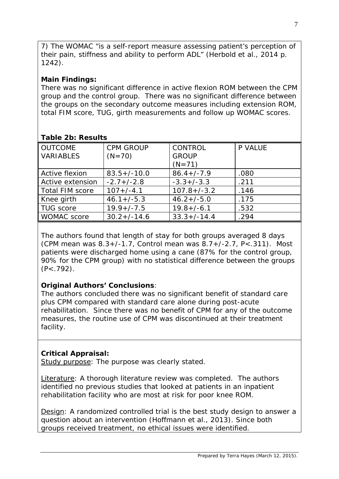7) The WOMAC "is a self-report measure assessing patient's perception of their pain, stiffness and ability to perform ADL" (Herbold et al., 2014 p. 1242).

# **Main Findings:**

There was no significant difference in active flexion ROM between the CPM group and the control group. There was no significant difference between the groups on the secondary outcome measures including extension ROM, total FIM score, TUG, girth measurements and follow up WOMAC scores.

| <b>OUTCOME</b>         | <b>CPM GROUP</b> | <b>CONTROL</b>   | P VALUE |
|------------------------|------------------|------------------|---------|
| <b>VARIABLES</b>       | $(N=70)$         | <b>GROUP</b>     |         |
|                        |                  | $(N=71)$         |         |
| Active flexion         | $83.5 + / -10.0$ | $86.4 + (-7.9)$  | .080    |
| Active extension       | $-2.7+/-2.8$     | $-3.3+/-3.3$     | .211    |
| <b>Total FIM score</b> | $107 + (-4.1)$   | $107.8 + (-3.2)$ | .146    |
| Knee girth             | $46.1 + (-5.3)$  | $46.2 + (-5.0)$  | .175    |
| <b>TUG</b> score       | $19.9 + (-7.5$   | $19.8 + (-6.1)$  | .532    |
| <b>WOMAC</b> score     | $30.2 + (-14.6)$ | $33.3+/-14.4$    | .294    |

## **Table 2b: Results**

The authors found that length of stay for both groups averaged 8 days (CPM mean was 8.3+/-1.7, Control mean was 8.7+/-2.7, P<.311). Most patients were discharged home using a cane (87% for the control group, 90% for the CPM group) with no statistical difference between the groups  $(P<.792)$ .

# **Original Authors' Conclusions**:

The authors concluded there was no significant benefit of standard care plus CPM compared with standard care alone during post-acute rehabilitation. Since there was no benefit of CPM for any of the outcome measures, the routine use of CPM was discontinued at their treatment facility.

# **Critical Appraisal:**

Study purpose: The purpose was clearly stated.

Literature: A thorough literature review was completed. The authors identified no previous studies that looked at patients in an inpatient rehabilitation facility who are most at risk for poor knee ROM.

Design: A randomized controlled trial is the best study design to answer a question about an intervention (Hoffmann et al., 2013). Since both groups received treatment, no ethical issues were identified.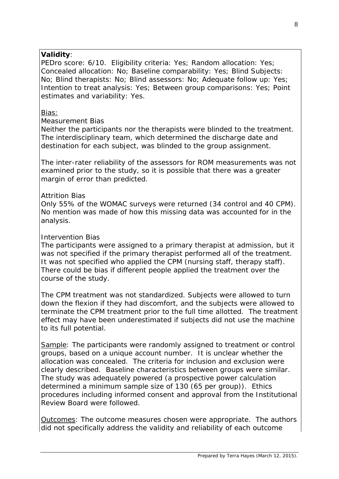## **Validity**:

PEDro score: 6/10. Eligibility criteria: Yes; Random allocation: Yes; Concealed allocation: No; Baseline comparability: Yes; Blind Subjects: No; Blind therapists: No; Blind assessors: No; Adequate follow up: Yes; Intention to treat analysis: Yes; Between group comparisons: Yes; Point estimates and variability: Yes.

## Bias:

#### *Measurement Bias*

Neither the participants nor the therapists were blinded to the treatment. The interdisciplinary team, which determined the discharge date and destination for each subject, was blinded to the group assignment.

The inter-rater reliability of the assessors for ROM measurements was not examined prior to the study, so it is possible that there was a greater margin of error than predicted.

#### *Attrition Bias*

Only 55% of the WOMAC surveys were returned (34 control and 40 CPM). No mention was made of how this missing data was accounted for in the analysis.

#### *Intervention Bias*

The participants were assigned to a primary therapist at admission, but it was not specified if the primary therapist performed all of the treatment. It was not specified who applied the CPM (nursing staff, therapy staff). There could be bias if different people applied the treatment over the course of the study.

The CPM treatment was not standardized. Subjects were allowed to turn down the flexion if they had discomfort, and the subjects were allowed to terminate the CPM treatment prior to the full time allotted. The treatment effect may have been underestimated if subjects did not use the machine to its full potential.

Sample: The participants were randomly assigned to treatment or control groups, based on a unique account number. It is unclear whether the allocation was concealed. The criteria for inclusion and exclusion were clearly described. Baseline characteristics between groups were similar. The study was adequately powered (a prospective power calculation determined a minimum sample size of 130 (65 per group)). Ethics procedures including informed consent and approval from the Institutional Review Board were followed.

Outcomes: The outcome measures chosen were appropriate. The authors did not specifically address the validity and reliability of each outcome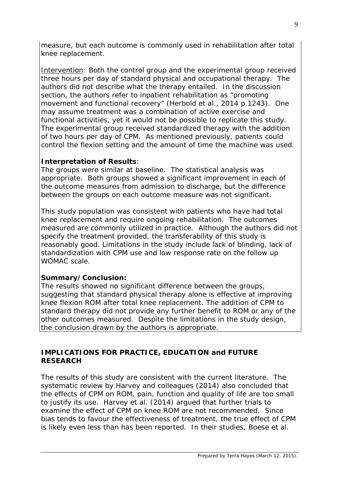measure, but each outcome is commonly used in rehabilitation after total knee replacement.

Intervention: Both the control group and the experimental group received three hours per day of standard physical and occupational therapy. The authors did not describe what the therapy entailed. In the discussion section, the authors refer to inpatient rehabilitation as "promoting movement and functional recovery" (Herbold et al., 2014 p.1243). One may assume treatment was a combination of active exercise and functional activities, yet it would not be possible to replicate this study. The experimental group received standardized therapy with the addition of two hours per day of CPM. As mentioned previously, patients could control the flexion setting and the amount of time the machine was used.

# **Interpretation of Results**:

The groups were similar at baseline. The statistical analysis was appropriate. Both groups showed a significant improvement in each of the outcome measures from admission to discharge, but the difference between the groups on each outcome measure was not significant.

This study population was consistent with patients who have had total knee replacement and require ongoing rehabilitation. The outcomes measured are commonly utilized in practice. Although the authors did not specify the treatment provided, the transferability of this study is reasonably good. Limitations in the study include lack of blinding, lack of standardization with CPM use and low response rate on the follow up WOMAC scale.

## **Summary/Conclusion:**

The results showed no significant difference between the groups, suggesting that standard physical therapy alone is effective at improving knee flexion ROM after total knee replacement. The addition of CPM to standard therapy did not provide any further benefit to ROM or any of the other outcomes measured. Despite the limitations in the study design, the conclusion drawn by the authors is appropriate.

# **IMPLICATIONS FOR PRACTICE, EDUCATION and FUTURE RESEARCH**

The results of this study are consistent with the current literature. The systematic review by Harvey and colleagues (2014) also concluded that the effects of CPM on ROM, pain, function and quality of life are too small to justify its use. Harvey et al. (2014) argued that further trials to examine the effect of CPM on knee ROM are not recommended. Since bias tends to favour the effectiveness of treatment, the true effect of CPM is likely even less than has been reported. In their studies, Boese et al.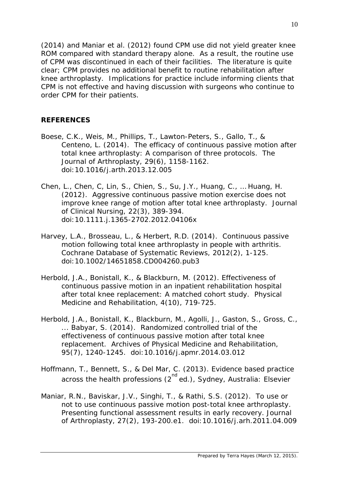(2014) and Maniar et al. (2012) found CPM use did not yield greater knee ROM compared with standard therapy alone. As a result, the routine use of CPM was discontinued in each of their facilities. The literature is quite clear; CPM provides no additional benefit to routine rehabilitation after knee arthroplasty. Implications for practice include informing clients that CPM is not effective and having discussion with surgeons who continue to order CPM for their patients.

## **REFERENCES**

- Boese, C.K., Weis, M., Phillips, T., Lawton-Peters, S., Gallo, T., & Centeno, L. (2014). The efficacy of continuous passive motion after total knee arthroplasty: A comparison of three protocols. *The Journal of Arthroplasty, 29*(6), 1158-1162. doi:10.1016/j.arth.2013.12.005
- Chen, L., Chen, C, Lin, S., Chien, S., Su, J.Y., Huang, C., … Huang, H. (2012). Aggressive continuous passive motion exercise does not improve knee range of motion after total knee arthroplasty. *Journal of Clinical Nursing, 22*(3), 389-394. doi:10.1111.j.1365-2702.2012.04106x
- Harvey, L.A., Brosseau, L., & Herbert, R.D. (2014). Continuous passive motion following total knee arthroplasty in people with arthritis. *Cochrane Database of Systematic Reviews, 2012*(2), 1-125. doi:10.1002/14651858.CD004260.pub3
- Herbold, J.A., Bonistall, K., & Blackburn, M. (2012). Effectiveness of continuous passive motion in an inpatient rehabilitation hospital after total knee replacement: A matched cohort study. *Physical Medicine and Rehabilitation, 4*(10), 719-725.
- Herbold, J.A., Bonistall, K., Blackburn, M., Agolli, J., Gaston, S., Gross, C., ... Babyar, S. (2014). Randomized controlled trial of the effectiveness of continuous passive motion after total knee replacement. *Archives of Physical Medicine and Rehabilitation, 95*(7), 1240-1245. doi:10.1016/j.apmr.2014.03.012
- Hoffmann, T., Bennett, S., & Del Mar, C. (2013). *Evidence based practice*  across the health professions (2<sup>nd</sup> ed.), Sydney, Australia: Elsevier
- Maniar, R.N., Baviskar, J.V., Singhi, T., & Rathi, S.S. (2012). To use or not to use continuous passive motion post-total knee arthroplasty. Presenting functional assessment results in early recovery. *Journal of Arthroplasty, 27*(2), 193-200.e1. doi:10.1016/j.arh.2011.04.009